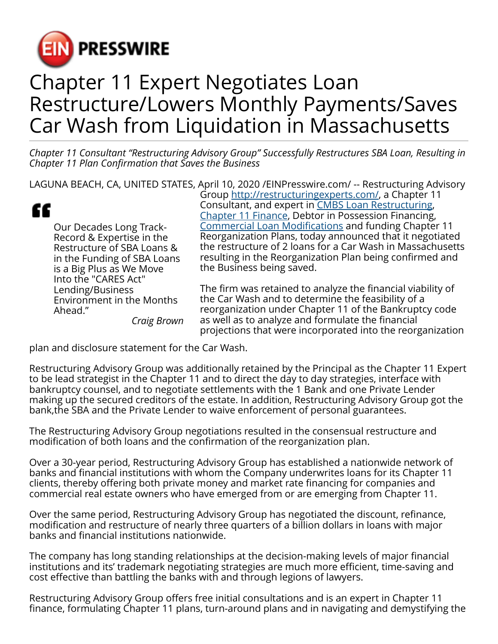

## Chapter 11 Expert Negotiates Loan Restructure/Lowers Monthly Payments/Saves Car Wash from Liquidation in Massachusetts

*Chapter 11 Consultant "Restructuring Advisory Group" Successfully Restructures SBA Loan, Resulting in Chapter 11 Plan Confirmation that Saves the Business*

LAGUNA BEACH, CA, UNITED STATES, April 10, 2020 [/EINPresswire.com](http://www.einpresswire.com)/ -- Restructuring Advisory Group [http://restructuringexperts.com/,](http://restructuringexperts.com/) a Chapter 11

|                                                         | Consultant, and expert in CMBS Loan Restructuring,<br>Chapter 11 Finance, Debtor in Possession Financing,              |
|---------------------------------------------------------|------------------------------------------------------------------------------------------------------------------------|
| <b>Our Decades Long Track-</b>                          | <b>Commercial Loan Modifications and funding Chapter 11</b>                                                            |
| Record & Expertise in the                               | Reorganization Plans, today announced that it negotiated                                                               |
| Restructure of SBA Loans &                              | the restructure of 2 loans for a Car Wash in Massachusetts<br>resulting in the Reorganization Plan being confirmed and |
| in the Funding of SBA Loans<br>is a Big Plus as We Move | the Business being saved.                                                                                              |
| Into the "CARES Act"                                    |                                                                                                                        |
| Lending/Business                                        | The firm was retained to analyze the financial viability of                                                            |
| <b>Environment in the Months</b>                        | the Car Wash and to determine the feasibility of a                                                                     |
| Ahead."                                                 | reorganization under Chapter 11 of the Bankruptcy code                                                                 |

*Craig Brown*

al viability of the Car Wash and to determine the feasibility of a reorganization under Chapter 11 of the Bankruptcy code as well as to analyze and formulate the financial projections that were incorporated into the reorganization

plan and disclosure statement for the Car Wash.

Restructuring Advisory Group was additionally retained by the Principal as the Chapter 11 Expert to be lead strategist in the Chapter 11 and to direct the day to day strategies, interface with bankruptcy counsel, and to negotiate settlements with the 1 Bank and one Private Lender making up the secured creditors of the estate. In addition, Restructuring Advisory Group got the bank,the SBA and the Private Lender to waive enforcement of personal guarantees.

The Restructuring Advisory Group negotiations resulted in the consensual restructure and modification of both loans and the confirmation of the reorganization plan.

Over a 30-year period, Restructuring Advisory Group has established a nationwide network of banks and financial institutions with whom the Company underwrites loans for its Chapter 11 clients, thereby offering both private money and market rate financing for companies and commercial real estate owners who have emerged from or are emerging from Chapter 11.

Over the same period, Restructuring Advisory Group has negotiated the discount, refinance, modification and restructure of nearly three quarters of a billion dollars in loans with major banks and financial institutions nationwide.

The company has long standing relationships at the decision-making levels of major financial institutions and its' trademark negotiating strategies are much more efficient, time-saving and cost effective than battling the banks with and through legions of lawyers.

Restructuring Advisory Group offers free initial consultations and is an expert in Chapter 11 finance, formulating Chapter 11 plans, turn-around plans and in navigating and demystifying the